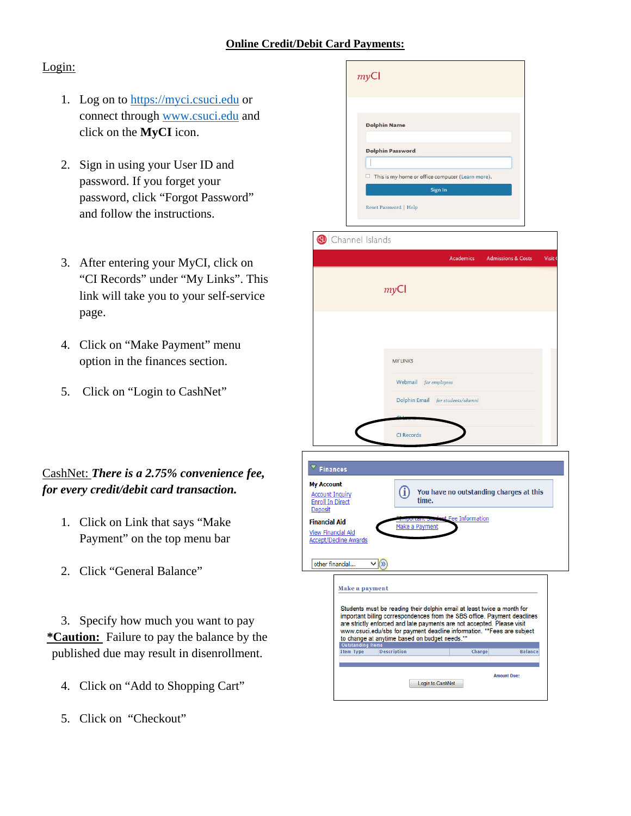## **Online Credit/Debit Card Payments:**

## Login:

- 1. Log on to [https://myci.csuci.edu](https://myci.csuci.edu/) or connect through [www.csuci.edu](http://www.csuci.edu/) and click on the **MyCI** icon.
- 2. Sign in using your User ID and password. If you forget your password, click "Forgot Password" and follow the instructions.
- 3. After entering your MyCI, click on "CI Records" under "My Links". This link will take you to your self-service page.
- 4. Click on "Make Payment" menu option in the finances section.
- 5. Click on "Login to CashNet"

## CashNet: *There is a 2.75% convenience fee, for every credit/debit card transaction.*

- 1. Click on Link that says "Make Payment" on the top menu bar
- 2. Click "General Balance"

3. Specify how much you want to pay **\*Caution:** Failure to pay the balance by the published due may result in disenrollment.

- 4. Click on "Add to Shopping Cart"
- 5. Click on "Checkout"